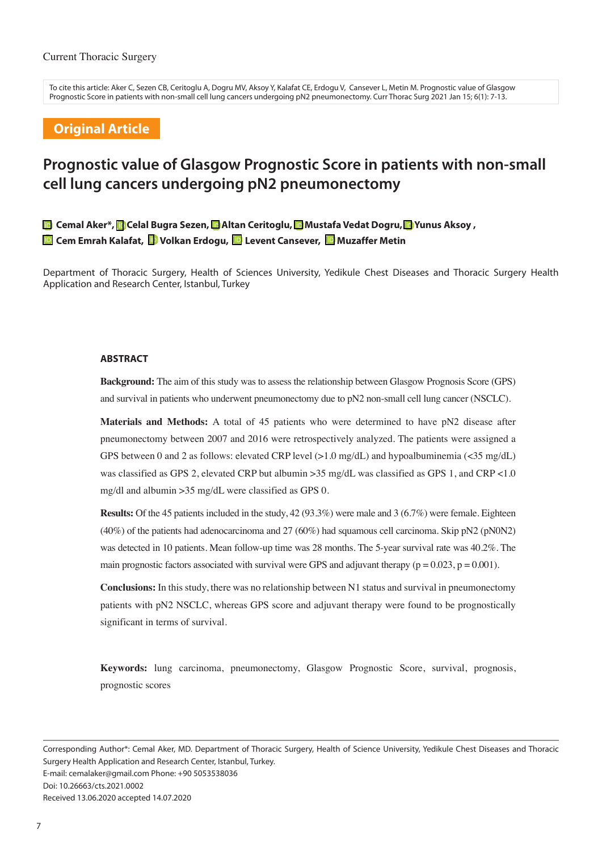To cite this article: Aker C, Sezen CB, Ceritoglu A, Dogru MV, Aksoy Y, Kalafat CE, Erdogu V, Cansever L, Metin M. Prognostic value of Glasgow Prognostic Score in patients with non-small cell lung cancers undergoing pN2 pneumonectomy. Curr Thorac Surg 2021 Jan 15; 6(1): 7-13.

## **Original Article**

# **Prognostic value of Glasgow Prognostic Score in patients with non-small cell lung cancers undergoing pN2 pneumonectomy**

**Cemal Aker\*,Celal Bugra Sezen,Altan Ceritoglu,Mustafa Vedat Dogru,Yunus Aksoy , Cem Emrah Kalafat, © Volkan Erdogu, © Levent Cansever, © Muzaffer Metin** 

Department of Thoracic Surgery, Health of Sciences University, Yedikule Chest Diseases and Thoracic Surgery Health Application and Research Center, Istanbul, Turkey

#### **ABSTRACT**

**Background:** The aim of this study was to assess the relationship between Glasgow Prognosis Score (GPS) and survival in patients who underwent pneumonectomy due to pN2 non-small cell lung cancer (NSCLC).

**Materials and Methods:** A total of 45 patients who were determined to have pN2 disease after pneumonectomy between 2007 and 2016 were retrospectively analyzed. The patients were assigned a GPS between 0 and 2 as follows: elevated CRP level  $(>1.0 \text{ mg/dL})$  and hypoalbuminemia  $(<35 \text{ mg/dL})$ was classified as GPS 2, elevated CRP but albumin >35 mg/dL was classified as GPS 1, and CRP <1.0 mg/dl and albumin >35 mg/dL were classified as GPS 0.

**Results:** Of the 45 patients included in the study, 42 (93.3%) were male and 3 (6.7%) were female. Eighteen (40%) of the patients had adenocarcinoma and 27 (60%) had squamous cell carcinoma. Skip pN2 (pN0N2) was detected in 10 patients. Mean follow-up time was 28 months. The 5-year survival rate was 40.2%. The main prognostic factors associated with survival were GPS and adjuvant therapy ( $p = 0.023$ ,  $p = 0.001$ ).

**Conclusions:** In this study, there was no relationship between N1 status and survival in pneumonectomy patients with pN2 NSCLC, whereas GPS score and adjuvant therapy were found to be prognostically significant in terms of survival.

**Keywords:** lung carcinoma, pneumonectomy, Glasgow Prognostic Score, survival, prognosis, prognostic scores

Corresponding Author\*: Cemal Aker, MD. Department of Thoracic Surgery, Health of Science University, Yedikule Chest Diseases and Thoracic Surgery Health Application and Research Center, Istanbul, Turkey. E-mail: cemalaker@gmail.com Phone: +90 5053538036 Doi: 10.26663/cts.2021.0002 Received 13.06.2020 accepted 14.07.2020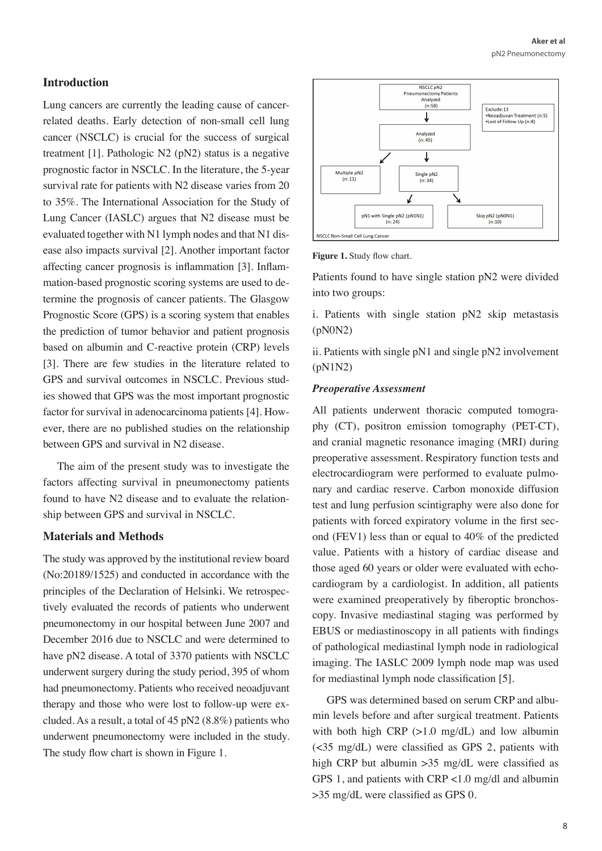# **Introduction**

Lung cancers are currently the leading cause of cancerrelated deaths. Early detection of non-small cell lung cancer (NSCLC) is crucial for the success of surgical treatment [1]. Pathologic N2 (pN2) status is a negative prognostic factor in NSCLC. In the literature, the 5-year survival rate for patients with N2 disease varies from 20 to 35%. The International Association for the Study of Lung Cancer (IASLC) argues that N2 disease must be evaluated together with N1 lymph nodes and that N1 disease also impacts survival [2]. Another important factor affecting cancer prognosis is inflammation [3]. Inflammation-based prognostic scoring systems are used to determine the prognosis of cancer patients. The Glasgow Prognostic Score (GPS) is a scoring system that enables the prediction of tumor behavior and patient prognosis based on albumin and C-reactive protein (CRP) levels [3]. There are few studies in the literature related to GPS and survival outcomes in NSCLC. Previous studies showed that GPS was the most important prognostic factor for survival in adenocarcinoma patients [4]. However, there are no published studies on the relationship between GPS and survival in N2 disease.

The aim of the present study was to investigate the factors affecting survival in pneumonectomy patients found to have N2 disease and to evaluate the relationship between GPS and survival in NSCLC.

## **Materials and Methods**

The study was approved by the institutional review board (No:20189/1525) and conducted in accordance with the principles of the Declaration of Helsinki. We retrospectively evaluated the records of patients who underwent pneumonectomy in our hospital between June 2007 and December 2016 due to NSCLC and were determined to have pN2 disease. A total of 3370 patients with NSCLC underwent surgery during the study period, 395 of whom had pneumonectomy. Patients who received neoadjuvant therapy and those who were lost to follow-up were excluded. As a result, a total of 45 pN2 (8.8%) patients who underwent pneumonectomy were included in the study. The study flow chart is shown in Figure 1.





Patients found to have single station pN2 were divided into two groups:

i. Patients with single station pN2 skip metastasis (pN0N2)

ii. Patients with single pN1 and single pN2 involvement (pN1N2)

#### *Preoperative Assessment*

All patients underwent thoracic computed tomography (CT), positron emission tomography (PET-CT), and cranial magnetic resonance imaging (MRI) during preoperative assessment. Respiratory function tests and electrocardiogram were performed to evaluate pulmonary and cardiac reserve. Carbon monoxide diffusion test and lung perfusion scintigraphy were also done for patients with forced expiratory volume in the first second (FEV1) less than or equal to 40% of the predicted value. Patients with a history of cardiac disease and those aged 60 years or older were evaluated with echocardiogram by a cardiologist. In addition, all patients were examined preoperatively by fiberoptic bronchoscopy. Invasive mediastinal staging was performed by EBUS or mediastinoscopy in all patients with findings of pathological mediastinal lymph node in radiological imaging. The IASLC 2009 lymph node map was used for mediastinal lymph node classification [5].

GPS was determined based on serum CRP and albumin levels before and after surgical treatment. Patients with both high CRP  $(>1.0 \text{ mg/dL})$  and low albumin (<35 mg/dL) were classified as GPS 2, patients with high CRP but albumin > 35 mg/dL were classified as GPS 1, and patients with CRP <1.0 mg/dl and albumin >35 mg/dL were classified as GPS 0.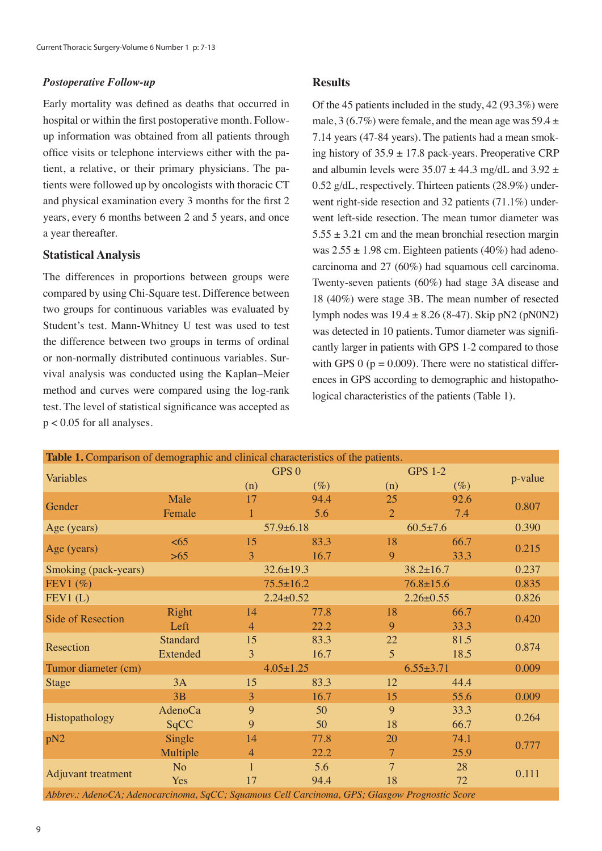#### *Postoperative Follow-up*

Early mortality was defined as deaths that occurred in hospital or within the first postoperative month. Followup information was obtained from all patients through office visits or telephone interviews either with the patient, a relative, or their primary physicians. The patients were followed up by oncologists with thoracic CT and physical examination every 3 months for the first 2 years, every 6 months between 2 and 5 years, and once a year thereafter.

## **Statistical Analysis**

The differences in proportions between groups were compared by using Chi-Square test. Difference between two groups for continuous variables was evaluated by Student's test. Mann-Whitney U test was used to test the difference between two groups in terms of ordinal or non-normally distributed continuous variables. Survival analysis was conducted using the Kaplan–Meier method and curves were compared using the log-rank test. The level of statistical significance was accepted as  $p < 0.05$  for all analyses.

## **Results**

Of the 45 patients included in the study, 42 (93.3%) were male,  $3(6.7\%)$  were female, and the mean age was  $59.4 \pm 1$ 7.14 years (47-84 years). The patients had a mean smoking history of  $35.9 \pm 17.8$  pack-years. Preoperative CRP and albumin levels were  $35.07 \pm 44.3$  mg/dL and  $3.92 \pm$ 0.52 g/dL, respectively. Thirteen patients (28.9%) underwent right-side resection and 32 patients (71.1%) underwent left-side resection. The mean tumor diameter was  $5.55 \pm 3.21$  cm and the mean bronchial resection margin was  $2.55 \pm 1.98$  cm. Eighteen patients (40%) had adenocarcinoma and 27 (60%) had squamous cell carcinoma. Twenty-seven patients (60%) had stage 3A disease and 18 (40%) were stage 3B. The mean number of resected lymph nodes was  $19.4 \pm 8.26$  (8-47). Skip pN2 (pN0N2) was detected in 10 patients. Tumor diameter was significantly larger in patients with GPS 1-2 compared to those with GPS 0 ( $p = 0.009$ ). There were no statistical differences in GPS according to demographic and histopathological characteristics of the patients (Table 1).

| Table 1. Comparison of demographic and clinical characteristics of the patients.               |                 |                |                  |                 |                 |         |  |  |  |  |
|------------------------------------------------------------------------------------------------|-----------------|----------------|------------------|-----------------|-----------------|---------|--|--|--|--|
|                                                                                                |                 |                | GPS <sub>0</sub> |                 | <b>GPS 1-2</b>  |         |  |  |  |  |
| Variables                                                                                      |                 | (n)            | $(\%)$           | (n)             | $(\%)$          | p-value |  |  |  |  |
| Gender                                                                                         | Male            | 17             | 94.4             | 25              | 92.6            |         |  |  |  |  |
|                                                                                                | Female          | 1              | 5.6              | $\overline{2}$  | 7.4             | 0.807   |  |  |  |  |
| Age (years)                                                                                    |                 |                | $57.9 \pm 6.18$  | $60.5 \pm 7.6$  |                 | 0.390   |  |  |  |  |
| Age (years)                                                                                    | <65             | 15             | 83.3             | 18              | 66.7            | 0.215   |  |  |  |  |
|                                                                                                | $>65$           | 3              | 16.7             | 9               | 33.3            |         |  |  |  |  |
| Smoking (pack-years)                                                                           |                 |                | $32.6 \pm 19.3$  |                 | $38.2 \pm 16.7$ |         |  |  |  |  |
| FEV1 $(\% )$                                                                                   |                 |                | $75.5 \pm 16.2$  |                 | $76.8 \pm 15.6$ |         |  |  |  |  |
| FEV1(L)                                                                                        |                 |                | $2.24 \pm 0.52$  | $2.26 \pm 0.55$ |                 | 0.826   |  |  |  |  |
| <b>Side of Resection</b>                                                                       | Right           | 14             | 77.8             | 18              | 66.7            | 0.420   |  |  |  |  |
|                                                                                                | Left            | $\overline{4}$ | 22.2             | 9               | 33.3            |         |  |  |  |  |
| Resection                                                                                      | <b>Standard</b> | 15             | 83.3             | 22              | 81.5            | 0.874   |  |  |  |  |
|                                                                                                | Extended        | 3              | 16.7             | $\overline{5}$  | 18.5            |         |  |  |  |  |
| Tumor diameter (cm)                                                                            |                 |                | $4.05 \pm 1.25$  | $6.55 \pm 3.71$ | 0.009           |         |  |  |  |  |
| <b>Stage</b>                                                                                   | 3A              | 15             | 83.3             | 12              | 44.4            |         |  |  |  |  |
|                                                                                                | 3B              | 3              | 16.7             | 15              | 55.6            | 0.009   |  |  |  |  |
| Histopathology                                                                                 | <b>AdenoCa</b>  | 9              | 50               | 9               | 33.3            | 0.264   |  |  |  |  |
|                                                                                                | SqCC            | 9              | 50               | 18              | 66.7            |         |  |  |  |  |
| pN2                                                                                            | Single          | 14             | 77.8             | 20              | 74.1            | 0.777   |  |  |  |  |
|                                                                                                | Multiple        | $\overline{4}$ | 22.2             | 7               | 25.9            |         |  |  |  |  |
| Adjuvant treatment                                                                             | N <sub>o</sub>  | $\mathbf{1}$   | 5.6              | 7               | 28              | 0.111   |  |  |  |  |
|                                                                                                | <b>Yes</b>      | 17             | 94.4             | 18              | 72              |         |  |  |  |  |
| Abbrev.: AdenoCA; Adenocarcinoma, SqCC; Squamous Cell Carcinoma, GPS; Glasgow Prognostic Score |                 |                |                  |                 |                 |         |  |  |  |  |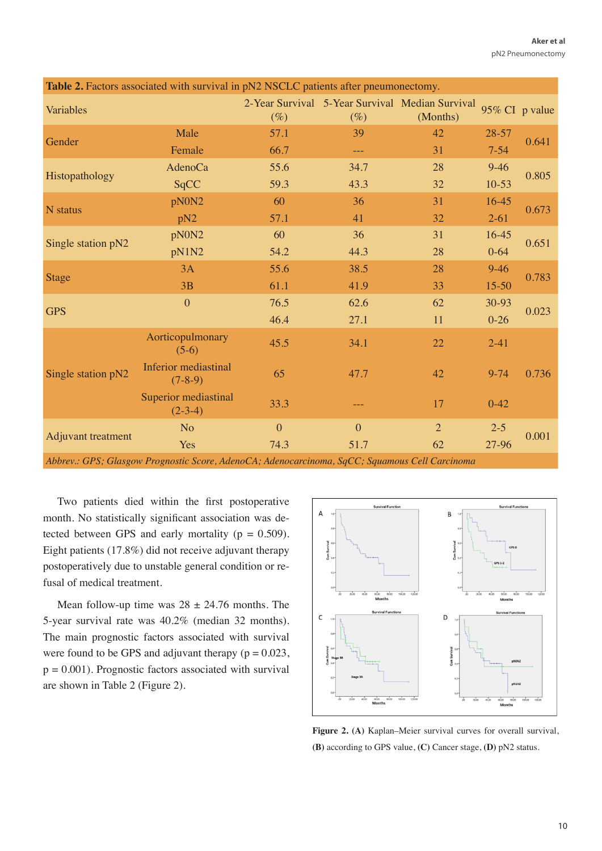| Table 2. Factors associated with survival in pN2 NSCLC patients after pneumonectomy. |                                                   |                  |              |                                                             |                |       |  |  |  |  |  |
|--------------------------------------------------------------------------------------|---------------------------------------------------|------------------|--------------|-------------------------------------------------------------|----------------|-------|--|--|--|--|--|
| Variables                                                                            |                                                   | $(\%)$           | $(\%)$       | 2-Year Survival 5-Year Survival Median Survival<br>(Months) | 95% CI p value |       |  |  |  |  |  |
| Gender                                                                               | Male                                              | 57.1             | 39           | 42                                                          | $28 - 57$      | 0.641 |  |  |  |  |  |
|                                                                                      | Female                                            | 66.7             | ---          | 31                                                          | $7 - 54$       |       |  |  |  |  |  |
| Histopathology                                                                       | <b>AdenoCa</b>                                    | 55.6             | 34.7         | 28                                                          | $9-46$         | 0.805 |  |  |  |  |  |
|                                                                                      | SqCC                                              | 59.3             | 43.3         | 32                                                          | $10-53$        |       |  |  |  |  |  |
| N status                                                                             | pN0N2                                             | 60               | 36           | 31                                                          | $16-45$        | 0.673 |  |  |  |  |  |
|                                                                                      | pN <sub>2</sub>                                   | 57.1             | 41           | 32                                                          | $2 - 61$       |       |  |  |  |  |  |
| Single station pN2                                                                   | pN0N2                                             | 60               | 36           | 31                                                          | 16-45          | 0.651 |  |  |  |  |  |
|                                                                                      | pN1N2                                             | 54.2             | 44.3         | 28                                                          | $0 - 64$       |       |  |  |  |  |  |
| <b>Stage</b>                                                                         | 3A                                                | 55.6             | 38.5         | 28                                                          | $9 - 46$       |       |  |  |  |  |  |
|                                                                                      | 3B                                                | 61.1             | 41.9         | 33                                                          | $15 - 50$      | 0.783 |  |  |  |  |  |
| <b>GPS</b>                                                                           | $\theta$                                          | 76.5             | 62.6         | 62                                                          | 30-93          | 0.023 |  |  |  |  |  |
|                                                                                      |                                                   | 46.4             | 27.1         | 11                                                          | $0-26$         |       |  |  |  |  |  |
| Single station pN2                                                                   | Aorticopulmonary<br>$(5-6)$                       | 45.5             | 34.1         | 22                                                          | $2 - 41$       |       |  |  |  |  |  |
|                                                                                      | <b>Inferior mediastinal</b><br>$(7-8-9)$          | 65               | 47.7         | 42                                                          | $9 - 74$       | 0.736 |  |  |  |  |  |
|                                                                                      | Superior mediastinal<br>$(2-3-4)$                 | 33.3             |              | 17                                                          | $0 - 42$       |       |  |  |  |  |  |
| Adjuvant treatment                                                                   | N <sub>o</sub>                                    | $\boldsymbol{0}$ | $\mathbf{0}$ | $\overline{2}$                                              | $2 - 5$        | 0.001 |  |  |  |  |  |
|                                                                                      | Yes                                               | 74.3             | 51.7         | 62                                                          | 27-96          |       |  |  |  |  |  |
| $\mathbf{1}$<br>$CDC$ $C1$                                                           | $\mathbf{r}$<br>$\cdots$ $\alpha$<br>$\mathbf{A}$ | $C_A$ $A$ $T$    | $C0$ $C1$    | $\alpha$ $\alpha$ $\beta$                                   |                |       |  |  |  |  |  |

*Abbrev.: GPS; Glasgow Prognostic Score, AdenoCA; Adenocarcinoma, SqCC; Squamous Cell Carcinoma*

Two patients died within the first postoperative month. No statistically significant association was detected between GPS and early mortality ( $p = 0.509$ ). Eight patients (17.8%) did not receive adjuvant therapy postoperatively due to unstable general condition or refusal of medical treatment.

Mean follow-up time was  $28 \pm 24.76$  months. The 5-year survival rate was 40.2% (median 32 months). The main prognostic factors associated with survival were found to be GPS and adjuvant therapy ( $p = 0.023$ ,  $p = 0.001$ ). Prognostic factors associated with survival are shown in Table 2 (Figure 2).



**Figure 2. (A)** Kaplan–Meier survival curves for overall survival, **(B)** according to GPS value, **(C)** Cancer stage, **(D)** pN2 status.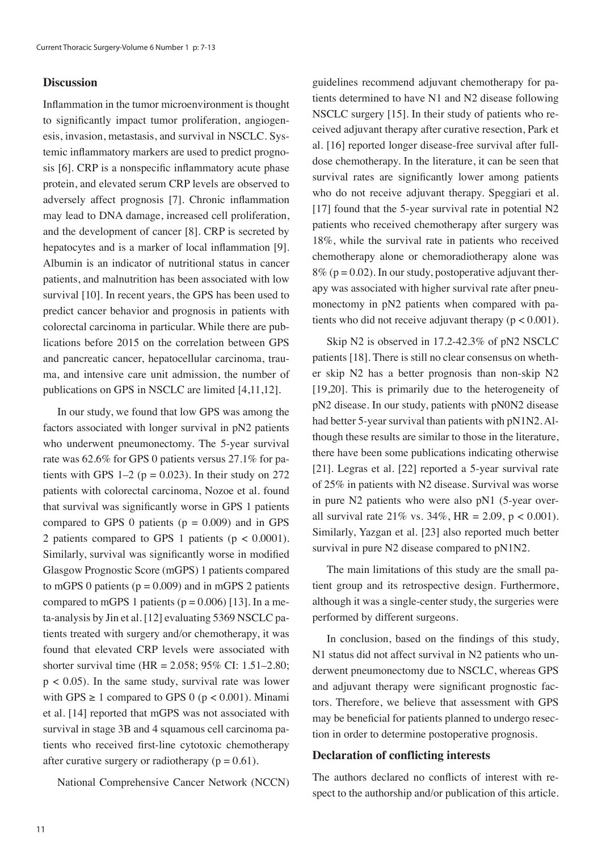## **Discussion**

Inflammation in the tumor microenvironment is thought to significantly impact tumor proliferation, angiogenesis, invasion, metastasis, and survival in NSCLC. Systemic inflammatory markers are used to predict prognosis [6]. CRP is a nonspecific inflammatory acute phase protein, and elevated serum CRP levels are observed to adversely affect prognosis [7]. Chronic inflammation may lead to DNA damage, increased cell proliferation, and the development of cancer [8]. CRP is secreted by hepatocytes and is a marker of local inflammation [9]. Albumin is an indicator of nutritional status in cancer patients, and malnutrition has been associated with low survival [10]. In recent years, the GPS has been used to predict cancer behavior and prognosis in patients with colorectal carcinoma in particular. While there are publications before 2015 on the correlation between GPS and pancreatic cancer, hepatocellular carcinoma, trauma, and intensive care unit admission, the number of publications on GPS in NSCLC are limited [4,11,12].

In our study, we found that low GPS was among the factors associated with longer survival in pN2 patients who underwent pneumonectomy. The 5-year survival rate was 62.6% for GPS 0 patients versus 27.1% for patients with GPS  $1-2$  ( $p = 0.023$ ). In their study on 272 patients with colorectal carcinoma, Nozoe et al. found that survival was significantly worse in GPS 1 patients compared to GPS 0 patients ( $p = 0.009$ ) and in GPS 2 patients compared to GPS 1 patients ( $p < 0.0001$ ). Similarly, survival was significantly worse in modified Glasgow Prognostic Score (mGPS) 1 patients compared to mGPS 0 patients ( $p = 0.009$ ) and in mGPS 2 patients compared to mGPS 1 patients ( $p = 0.006$ ) [13]. In a meta-analysis by Jin et al. [12] evaluating 5369 NSCLC patients treated with surgery and/or chemotherapy, it was found that elevated CRP levels were associated with shorter survival time (HR = 2.058; 95% CI: 1.51–2.80;  $p < 0.05$ ). In the same study, survival rate was lower with GPS  $\geq 1$  compared to GPS 0 (p < 0.001). Minami et al. [14] reported that mGPS was not associated with survival in stage 3B and 4 squamous cell carcinoma patients who received first-line cytotoxic chemotherapy after curative surgery or radiotherapy ( $p = 0.61$ ).

National Comprehensive Cancer Network (NCCN)

guidelines recommend adjuvant chemotherapy for patients determined to have N1 and N2 disease following NSCLC surgery [15]. In their study of patients who received adjuvant therapy after curative resection, Park et al. [16] reported longer disease-free survival after fulldose chemotherapy. In the literature, it can be seen that survival rates are significantly lower among patients who do not receive adjuvant therapy. Speggiari et al. [17] found that the 5-year survival rate in potential N2 patients who received chemotherapy after surgery was 18%, while the survival rate in patients who received chemotherapy alone or chemoradiotherapy alone was  $8\%$  (p = 0.02). In our study, postoperative adjuvant therapy was associated with higher survival rate after pneumonectomy in pN2 patients when compared with patients who did not receive adjuvant therapy ( $p < 0.001$ ).

Skip N2 is observed in 17.2-42.3% of pN2 NSCLC patients [18]. There is still no clear consensus on whether skip N2 has a better prognosis than non-skip N2 [19,20]. This is primarily due to the heterogeneity of pN2 disease. In our study, patients with pN0N2 disease had better 5-year survival than patients with pN1N2. Although these results are similar to those in the literature, there have been some publications indicating otherwise [21]. Legras et al. [22] reported a 5-year survival rate of 25% in patients with N2 disease. Survival was worse in pure N2 patients who were also pN1 (5-year overall survival rate  $21\%$  vs.  $34\%$ , HR = 2.09, p < 0.001). Similarly, Yazgan et al. [23] also reported much better survival in pure N2 disease compared to pN1N2.

The main limitations of this study are the small patient group and its retrospective design. Furthermore, although it was a single-center study, the surgeries were performed by different surgeons.

In conclusion, based on the findings of this study, N1 status did not affect survival in N2 patients who underwent pneumonectomy due to NSCLC, whereas GPS and adjuvant therapy were significant prognostic factors. Therefore, we believe that assessment with GPS may be beneficial for patients planned to undergo resection in order to determine postoperative prognosis.

#### **Declaration of conflicting interests**

The authors declared no conflicts of interest with respect to the authorship and/or publication of this article.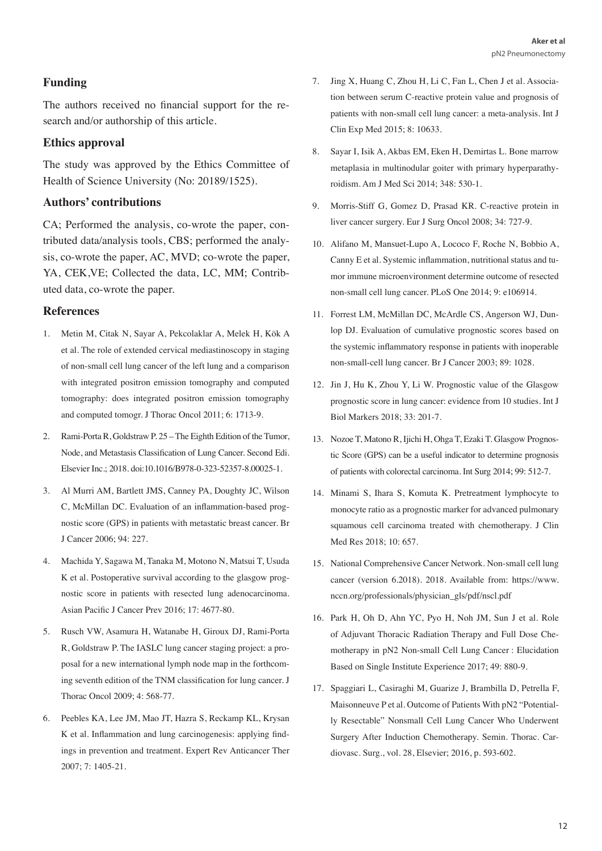# **Funding**

The authors received no financial support for the research and/or authorship of this article.

# **Ethics approval**

The study was approved by the Ethics Committee of Health of Science University (No: 20189/1525).

# **Authors' contributions**

CA; Performed the analysis, co-wrote the paper, contributed data/analysis tools, CBS; performed the analysis, co-wrote the paper, AC, MVD; co-wrote the paper, YA, CEK,VE; Collected the data, LC, MM; Contributed data, co-wrote the paper.

# **References**

- 1. Metin M, Citak N, Sayar A, Pekcolaklar A, Melek H, Kök A et al. The role of extended cervical mediastinoscopy in staging of non-small cell lung cancer of the left lung and a comparison with integrated positron emission tomography and computed tomography: does integrated positron emission tomography and computed tomogr. J Thorac Oncol 2011; 6: 1713-9.
- 2. Rami-Porta R, Goldstraw P. 25 The Eighth Edition of the Tumor, Node, and Metastasis Classification of Lung Cancer. Second Edi. Elsevier Inc.; 2018. doi:10.1016/B978-0-323-52357-8.00025-1.
- 3. Al Murri AM, Bartlett JMS, Canney PA, Doughty JC, Wilson C, McMillan DC. Evaluation of an inflammation-based prognostic score (GPS) in patients with metastatic breast cancer. Br J Cancer 2006; 94: 227.
- 4. Machida Y, Sagawa M, Tanaka M, Motono N, Matsui T, Usuda K et al. Postoperative survival according to the glasgow prognostic score in patients with resected lung adenocarcinoma. Asian Pacific J Cancer Prev 2016; 17: 4677-80.
- 5. Rusch VW, Asamura H, Watanabe H, Giroux DJ, Rami-Porta R, Goldstraw P. The IASLC lung cancer staging project: a proposal for a new international lymph node map in the forthcoming seventh edition of the TNM classification for lung cancer. J Thorac Oncol 2009; 4: 568-77.
- 6. Peebles KA, Lee JM, Mao JT, Hazra S, Reckamp KL, Krysan K et al. Inflammation and lung carcinogenesis: applying findings in prevention and treatment. Expert Rev Anticancer Ther 2007; 7: 1405-21.
- 7. Jing X, Huang C, Zhou H, Li C, Fan L, Chen J et al. Association between serum C-reactive protein value and prognosis of patients with non-small cell lung cancer: a meta-analysis. Int J Clin Exp Med 2015; 8: 10633.
- 8. Sayar I, Isik A, Akbas EM, Eken H, Demirtas L. Bone marrow metaplasia in multinodular goiter with primary hyperparathyroidism. Am J Med Sci 2014; 348: 530-1.
- 9. Morris-Stiff G, Gomez D, Prasad KR. C-reactive protein in liver cancer surgery. Eur J Surg Oncol 2008; 34: 727-9.
- 10. Alifano M, Mansuet-Lupo A, Lococo F, Roche N, Bobbio A, Canny E et al. Systemic inflammation, nutritional status and tumor immune microenvironment determine outcome of resected non-small cell lung cancer. PLoS One 2014; 9: e106914.
- 11. Forrest LM, McMillan DC, McArdle CS, Angerson WJ, Dunlop DJ. Evaluation of cumulative prognostic scores based on the systemic inflammatory response in patients with inoperable non-small-cell lung cancer. Br J Cancer 2003; 89: 1028.
- 12. Jin J, Hu K, Zhou Y, Li W. Prognostic value of the Glasgow prognostic score in lung cancer: evidence from 10 studies. Int J Biol Markers 2018; 33: 201-7.
- 13. Nozoe T, Matono R, Ijichi H, Ohga T, Ezaki T. Glasgow Prognostic Score (GPS) can be a useful indicator to determine prognosis of patients with colorectal carcinoma. Int Surg 2014; 99: 512-7.
- 14. Minami S, Ihara S, Komuta K. Pretreatment lymphocyte to monocyte ratio as a prognostic marker for advanced pulmonary squamous cell carcinoma treated with chemotherapy. J Clin Med Res 2018; 10: 657.
- 15. National Comprehensive Cancer Network. Non-small cell lung cancer (version 6.2018). 2018. Available from: https://www. nccn.org/professionals/physician\_gls/pdf/nscl.pdf
- 16. Park H, Oh D, Ahn YC, Pyo H, Noh JM, Sun J et al. Role of Adjuvant Thoracic Radiation Therapy and Full Dose Chemotherapy in pN2 Non-small Cell Lung Cancer : Elucidation Based on Single Institute Experience 2017; 49: 880-9.
- 17. Spaggiari L, Casiraghi M, Guarize J, Brambilla D, Petrella F, Maisonneuve P et al. Outcome of Patients With pN2 "Potentially Resectable" Nonsmall Cell Lung Cancer Who Underwent Surgery After Induction Chemotherapy. Semin. Thorac. Cardiovasc. Surg., vol. 28, Elsevier; 2016, p. 593-602.